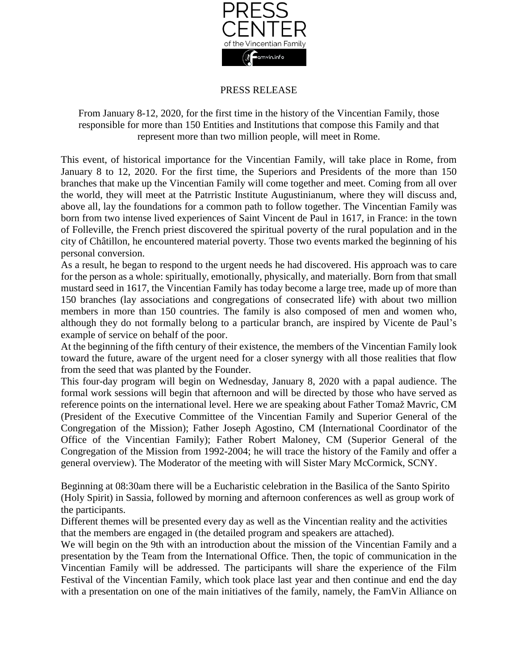

## PRESS RELEASE

From January 8-12, 2020, for the first time in the history of the Vincentian Family, those responsible for more than 150 Entities and Institutions that compose this Family and that represent more than two million people, will meet in Rome.

This event, of historical importance for the Vincentian Family, will take place in Rome, from January 8 to 12, 2020. For the first time, the Superiors and Presidents of the more than 150 branches that make up the Vincentian Family will come together and meet. Coming from all over the world, they will meet at the Patrristic Institute Augustinianum, where they will discuss and, above all, lay the foundations for a common path to follow together. The Vincentian Family was born from two intense lived experiences of Saint Vincent de Paul in 1617, in France: in the town of Folleville, the French priest discovered the spiritual poverty of the rural population and in the city of Châtillon, he encountered material poverty. Those two events marked the beginning of his personal conversion.

As a result, he began to respond to the urgent needs he had discovered. His approach was to care for the person as a whole: spiritually, emotionally, physically, and materially. Born from that small mustard seed in 1617, the Vincentian Family has today become a large tree, made up of more than 150 branches (lay associations and congregations of consecrated life) with about two million members in more than 150 countries. The family is also composed of men and women who, although they do not formally belong to a particular branch, are inspired by Vicente de Paul's example of service on behalf of the poor.

At the beginning of the fifth century of their existence, the members of the Vincentian Family look toward the future, aware of the urgent need for a closer synergy with all those realities that flow from the seed that was planted by the Founder.

This four-day program will begin on Wednesday, January 8, 2020 with a papal audience. The formal work sessions will begin that afternoon and will be directed by those who have served as reference points on the international level. Here we are speaking about Father Tomaž Mavric, CM (President of the Executive Committee of the Vincentian Family and Superior General of the Congregation of the Mission); Father Joseph Agostino, CM (International Coordinator of the Office of the Vincentian Family); Father Robert Maloney, CM (Superior General of the Congregation of the Mission from 1992-2004; he will trace the history of the Family and offer a general overview). The Moderator of the meeting with will Sister Mary McCormick, SCNY.

Beginning at 08:30am there will be a Eucharistic celebration in the Basilica of the Santo Spirito (Holy Spirit) in Sassia, followed by morning and afternoon conferences as well as group work of the participants.

Different themes will be presented every day as well as the Vincentian reality and the activities that the members are engaged in (the detailed program and speakers are attached).

We will begin on the 9th with an introduction about the mission of the Vincentian Family and a presentation by the Team from the International Office. Then, the topic of communication in the Vincentian Family will be addressed. The participants will share the experience of the Film Festival of the Vincentian Family, which took place last year and then continue and end the day with a presentation on one of the main initiatives of the family, namely, the FamVin Alliance on